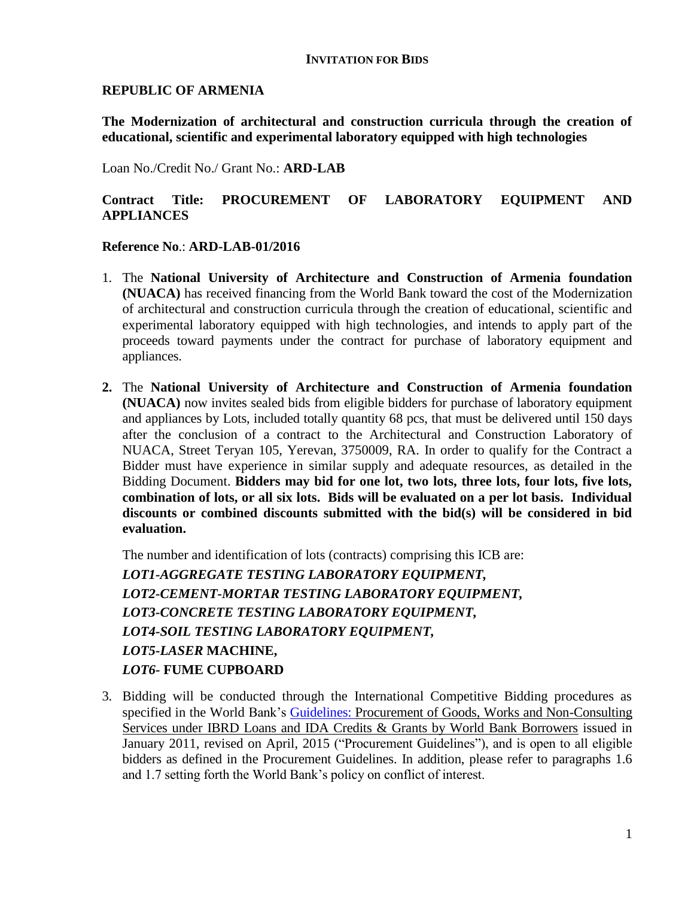## **INVITATION FOR BIDS**

## **REPUBLIC OF ARMENIA**

**The Modernization of architectural and construction curricula through the creation of educational, scientific and experimental laboratory equipped with high technologies**

Loan No./Credit No./ Grant No.: **ARD-LAB**

## **Contract Title: PROCUREMENT OF LABORATORY EQUIPMENT AND APPLIANCES**

## **Reference No**.: **ARD-LAB-01/2016**

- 1. The **National University of Architecture and Construction of Armenia foundation (NUACA)** has received financing from the World Bank toward the cost of the Modernization of architectural and construction curricula through the creation of educational, scientific and experimental laboratory equipped with high technologies, and intends to apply part of the proceeds toward payments under the contract for purchase of laboratory equipment and appliances.
- **2.** The **National University of Architecture and Construction of Armenia foundation (NUACA)** now invites sealed bids from eligible bidders for purchase of laboratory equipment and appliances by Lots, included totally quantity 68 pcs, that must be delivered until 150 days after the conclusion of a contract to the Architectural and Construction Laboratory of NUACA, Street Teryan 105, Yerevan, 3750009, RA. In order to qualify for the Contract a Bidder must have experience in similar supply and adequate resources, as detailed in the Bidding Document. **Bidders may bid for one lot, two lots, three lots, four lots, five lots, combination of lots, or all six lots. Bids will be evaluated on a per lot basis. Individual discounts or combined discounts submitted with the bid(s) will be considered in bid evaluation.**

The number and identification of lots (contracts) comprising this ICB are: *LOT1-AGGREGATE TESTING LABORATORY EQUIPMENT, LOT2-CEMENT-MORTAR TESTING LABORATORY EQUIPMENT, LOT3-CONCRETE TESTING LABORATORY EQUIPMENT, LOT4-SOIL TESTING LABORATORY EQUIPMENT, LOT5-LASER* **MACHINE,** *LOT6-* **FUME CUPBOARD**

3. Bidding will be conducted through the International Competitive Bidding procedures as specified in the World Bank's Guidelines: Procurement of Goods, Works and Non-Consulting [Services under IBRD Loans and IDA Credits & Grants by World Bank Borrowers](http://www.worldbank.org/html/opr/procure/guidelin.html) issued in January 2011, revised on April, 2015 ("Procurement Guidelines"), and is open to all eligible bidders as defined in the Procurement Guidelines. In addition, please refer to paragraphs 1.6 and 1.7 setting forth the World Bank's policy on conflict of interest.